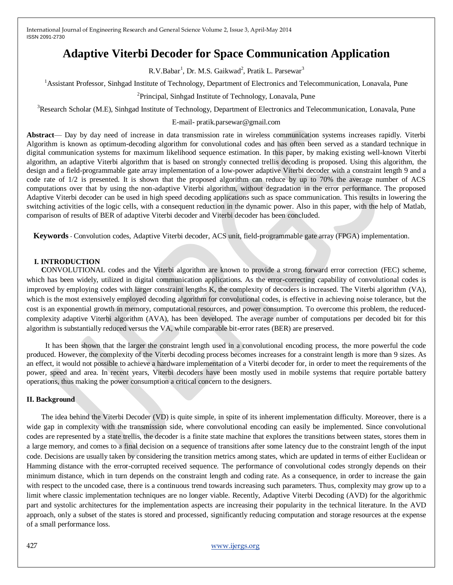# **Adaptive Viterbi Decoder for Space Communication Application**

R.V.Babar<sup>1</sup>, Dr. M.S. Gaikwad<sup>2</sup>, Pratik L. Parsewar<sup>3</sup>

<sup>1</sup>Assistant Professor, Sinhgad Institute of Technology, Department of Electronics and Telecommunication, Lonavala, Pune

<sup>2</sup>Principal, Sinhgad Institute of Technology, Lonavala, Pune

<sup>3</sup>Research Scholar (M.E), Sinhgad Institute of Technology, Department of Electronics and Telecommunication, Lonavala, Pune

#### E-mail- pratik.parsewar@gmail.com

**Abstract**— Day by day need of increase in data transmission rate in wireless communication systems increases rapidly. Viterbi Algorithm is known as optimum-decoding algorithm for convolutional codes and has often been served as a standard technique in digital communication systems for maximum likelihood sequence estimation. In this paper, by making existing well-known Viterbi algorithm, an adaptive Viterbi algorithm that is based on strongly connected trellis decoding is proposed. Using this algorithm, the design and a field-programmable gate array implementation of a low-power adaptive Viterbi decoder with a constraint length 9 and a code rate of 1/2 is presented. It is shown that the proposed algorithm can reduce by up to 70% the average number of ACS computations over that by using the non-adaptive Viterbi algorithm, without degradation in the error performance. The proposed Adaptive Viterbi decoder can be used in high speed decoding applications such as space communication. This results in lowering the switching activities of the logic cells, with a consequent reduction in the dynamic power. Also in this paper, with the help of Matlab, comparison of results of BER of adaptive Viterbi decoder and Viterbi decoder has been concluded.

**Keywords** *-* Convolution codes, Adaptive Viterbi decoder, ACS unit, field-programmable gate array (FPGA) implementation.

#### **I. INTRODUCTION**

 **C**ONVOLUTIONAL codes and the Viterbi algorithm are known to provide a strong forward error correction (FEC) scheme, which has been widely, utilized in digital communication applications. As the error-correcting capability of convolutional codes is improved by employing codes with larger constraint lengths K, the complexity of decoders is increased. The Viterbi algorithm (VA), which is the most extensively employed decoding algorithm for convolutional codes, is effective in achieving noise tolerance, but the cost is an exponential growth in memory, computational resources, and power consumption. To overcome this problem, the reducedcomplexity adaptive Viterbi algorithm (AVA), has been developed. The average number of computations per decoded bit for this algorithm is substantially reduced versus the VA, while comparable bit-error rates (BER) are preserved.

 It has been shown that the larger the constraint length used in a convolutional encoding process, the more powerful the code produced. However, the complexity of the Viterbi decoding process becomes increases for a constraint length is more than 9 sizes. As an effect, it would not possible to achieve a hardware implementation of a Viterbi decoder for, in order to meet the requirements of the power, speed and area. In recent years, Viterbi decoders have been mostly used in mobile systems that require portable battery operations, thus making the power consumption a critical concern to the designers.

#### **II. Background**

 The idea behind the Viterbi Decoder (VD) is quite simple, in spite of its inherent implementation difficulty. Moreover, there is a wide gap in complexity with the transmission side, where convolutional encoding can easily be implemented. Since convolutional codes are represented by a state trellis, the decoder is a finite state machine that explores the transitions between states, stores them in a large memory, and comes to a final decision on a sequence of transitions after some latency due to the constraint length of the input code. Decisions are usually taken by considering the transition metrics among states, which are updated in terms of either Euclidean or Hamming distance with the error-corrupted received sequence. The performance of convolutional codes strongly depends on their minimum distance, which in turn depends on the constraint length and coding rate. As a consequence, in order to increase the gain with respect to the uncoded case, there is a continuous trend towards increasing such parameters. Thus, complexity may grow up to a limit where classic implementation techniques are no longer viable. Recently, Adaptive Viterbi Decoding (AVD) for the algorithmic part and systolic architectures for the implementation aspects are increasing their popularity in the technical literature. In the AVD approach, only a subset of the states is stored and processed, significantly reducing computation and storage resources at the expense of a small performance loss.

## 427 [www.ijergs.org](http://www.ijergs.org/)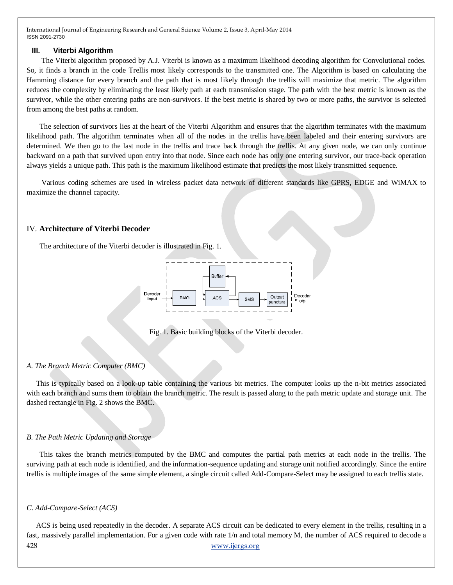#### **III. Viterbi Algorithm**

 The Viterbi algorithm proposed by A.J. Viterbi is known as a maximum likelihood decoding algorithm for Convolutional codes. So, it finds a branch in the code Trellis most likely corresponds to the transmitted one. The Algorithm is based on calculating the Hamming distance for every branch and the path that is most likely through the trellis will maximize that metric. The algorithm reduces the complexity by eliminating the least likely path at each transmission stage. The path with the best metric is known as the survivor, while the other entering paths are non-survivors. If the best metric is shared by two or more paths, the survivor is selected from among the best paths at random.

 The selection of survivors lies at the heart of the Viterbi Algorithm and ensures that the algorithm terminates with the maximum likelihood path. The algorithm terminates when all of the nodes in the trellis have been labeled and their entering survivors are determined. We then go to the last node in the trellis and trace back through the trellis. At any given node, we can only continue backward on a path that survived upon entry into that node. Since each node has only one entering survivor, our trace-back operation always yields a unique path. This path is the maximum likelihood estimate that predicts the most likely transmitted sequence.

 Various coding schemes are used in wireless packet data network of different standards like GPRS, EDGE and WiMAX to maximize the channel capacity.

## IV. **Architecture of Viterbi Decoder**

The architecture of the Viterbi decoder is illustrated in Fig. 1.



Fig. 1. Basic building blocks of the Viterbi decoder.

## *A. The Branch Metric Computer (BMC)*

 This is typically based on a look-up table containing the various bit metrics. The computer looks up the n-bit metrics associated with each branch and sums them to obtain the branch metric. The result is passed along to the path metric update and storage unit. The dashed rectangle in Fig. 2 shows the BMC.

## *B. The Path Metric Updating and Storage*

 This takes the branch metrics computed by the BMC and computes the partial path metrics at each node in the trellis. The surviving path at each node is identified, and the information-sequence updating and storage unit notified accordingly. Since the entire trellis is multiple images of the same simple element, a single circuit called Add-Compare-Select may be assigned to each trellis state.

#### *C. Add-Compare-Select (ACS)*

428 [www.ijergs.org](http://www.ijergs.org/) ACS is being used repeatedly in the decoder. A separate ACS circuit can be dedicated to every element in the trellis, resulting in a fast, massively parallel implementation. For a given code with rate 1/n and total memory M, the number of ACS required to decode a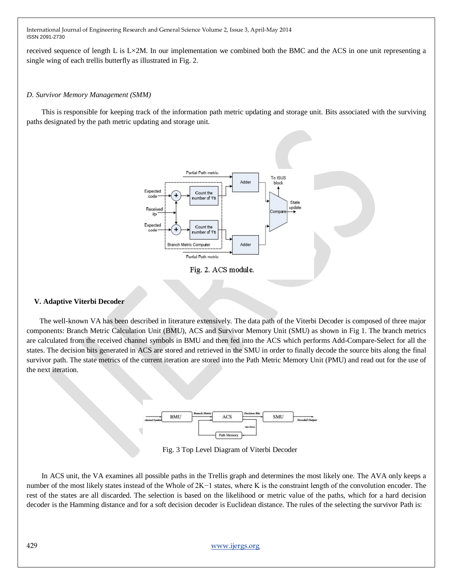received sequence of length L is L×2M. In our implementation we combined both the BMC and the ACS in one unit representing a single wing of each trellis butterfly as illustrated in Fig. 2.

#### *D. Survivor Memory Management (SMM)*

 This is responsible for keeping track of the information path metric updating and storage unit. Bits associated with the surviving paths designated by the path metric updating and storage unit.





## **V. Adaptive Viterbi Decoder**

 The well-known VA has been described in literature extensively. The data path of the Viterbi Decoder is composed of three major components: Branch Metric Calculation Unit (BMU), ACS and Survivor Memory Unit (SMU) as shown in Fig 1. The branch metrics are calculated from the received channel symbols in BMU and then fed into the ACS which performs Add-Compare-Select for all the states. The decision bits generated in ACS are stored and retrieved in the SMU in order to finally decode the source bits along the final survivor path. The state metrics of the current iteration are stored into the Path Metric Memory Unit (PMU) and read out for the use of the next iteration.



Fig. 3 Top Level Diagram of Viterbi Decoder

 In ACS unit, the VA examines all possible paths in the Trellis graph and determines the most likely one. The AVA only keeps a number of the most likely states instead of the Whole of 2K−1 states, where K is the constraint length of the convolution encoder. The rest of the states are all discarded. The selection is based on the likelihood or metric value of the paths, which for a hard decision decoder is the Hamming distance and for a soft decision decoder is Euclidean distance. The rules of the selecting the survivor Path is: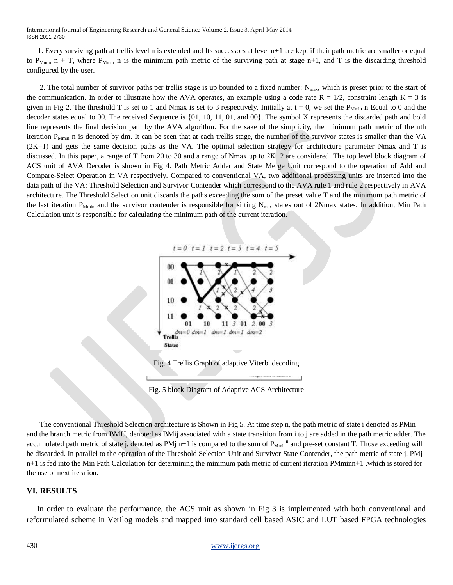1. Every surviving path at trellis level n is extended and Its successors at level n+1 are kept if their path metric are smaller or equal to  $P_{Mmin}$  n + T, where  $P_{Mmin}$  n is the minimum path metric of the surviving path at stage n+1, and T is the discarding threshold configured by the user.

2. The total number of survivor paths per trellis stage is up bounded to a fixed number:  $N_{\text{max}}$ , which is preset prior to the start of the communication. In order to illustrate how the AVA operates, an example using a code rate  $R = 1/2$ , constraint length  $K = 3$  is given in Fig 2. The threshold T is set to 1 and Nmax is set to 3 respectively. Initially at  $t = 0$ , we set the P<sub>Mmin</sub> n Equal to 0 and the decoder states equal to 00. The received Sequence is {01, 10, 11, 01, and 00}. The symbol X represents the discarded path and bold line represents the final decision path by the AVA algorithm. For the sake of the simplicity, the minimum path metric of the nth iteration P<sub>Mmin</sub> n is denoted by dm. It can be seen that at each trellis stage, the number of the survivor states is smaller than the VA (2K−1) and gets the same decision paths as the VA. The optimal selection strategy for architecture parameter Nmax and T is discussed. In this paper, a range of T from 20 to 30 and a range of Nmax up to 2K−2 are considered. The top level block diagram of ACS unit of AVA Decoder is shown in Fig 4. Path Metric Adder and State Merge Unit correspond to the operation of Add and Compare-Select Operation in VA respectively. Compared to conventional VA, two additional processing units are inserted into the data path of the VA: Threshold Selection and Survivor Contender which correspond to the AVA rule 1 and rule 2 respectively in AVA architecture. The Threshold Selection unit discards the paths exceeding the sum of the preset value T and the minimum path metric of the last iteration  $P_{Mmin}$  and the survivor contender is responsible for sifting  $N_{max}$  states out of 2Nmax states. In addition, Min Path Calculation unit is responsible for calculating the minimum path of the current iteration.



Fig. 4 Trellis Graph of adaptive Viterbi decoding

Fig. 5 block Diagram of Adaptive ACS Architecture

magazina manazarana a

 The conventional Threshold Selection architecture is Shown in Fig 5. At time step n, the path metric of state i denoted as PMin and the branch metric from BMU, denoted as BMij associated with a state transition from i to j are added in the path metric adder. The accumulated path metric of state j, denoted as PMj n+1 is compared to the sum of  $P_{Mmin}$ <sup>n</sup> and pre-set constant T. Those exceeding will be discarded. In parallel to the operation of the Threshold Selection Unit and Survivor State Contender, the path metric of state j, PMj n+1 is fed into the Min Path Calculation for determining the minimum path metric of current iteration PMminn+1 ,which is stored for the use of next iteration.

# **VI. RESULTS**

 In order to evaluate the performance, the ACS unit as shown in Fig 3 is implemented with both conventional and reformulated scheme in Verilog models and mapped into standard cell based ASIC and LUT based FPGA technologies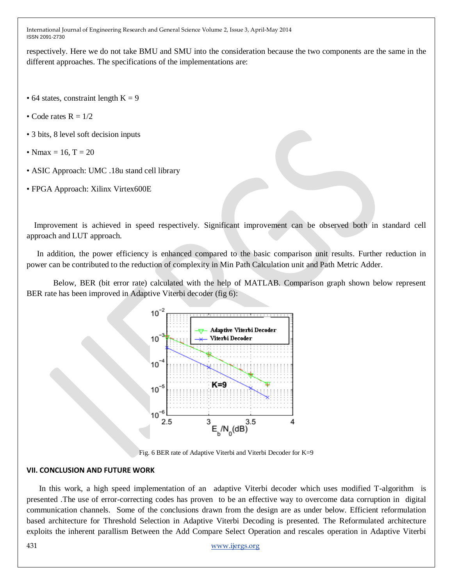respectively. Here we do not take BMU and SMU into the consideration because the two components are the same in the different approaches. The specifications of the implementations are:

- 64 states, constraint length  $K = 9$
- Code rates  $R = 1/2$
- 3 bits, 8 level soft decision inputs
- Nmax = 16,  $T = 20$
- ASIC Approach: UMC .18u stand cell library
- FPGA Approach: Xilinx Virtex600E

Improvement is achieved in speed respectively. Significant improvement can be observed both in standard cell approach and LUT approach.

 In addition, the power efficiency is enhanced compared to the basic comparison unit results. Further reduction in power can be contributed to the reduction of complexity in Min Path Calculation unit and Path Metric Adder.

Below, BER (bit error rate) calculated with the help of MATLAB. Comparison graph shown below represent BER rate has been improved in Adaptive Viterbi decoder (fig 6):



Fig. 6 BER rate of Adaptive Viterbi and Viterbi Decoder for K=9

## **VII. CONCLUSION AND FUTURE WORK**

 In this work, a high speed implementation of an adaptive Viterbi decoder which uses modified T-algorithm is presented .The use of error-correcting codes has proven to be an effective way to overcome data corruption in digital communication channels. Some of the conclusions drawn from the design are as under below. Efficient reformulation based architecture for Threshold Selection in Adaptive Viterbi Decoding is presented. The Reformulated architecture exploits the inherent parallism Between the Add Compare Select Operation and rescales operation in Adaptive Viterbi